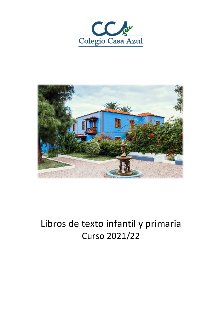



# Libros de texto infantil y primaria Curso 2021/22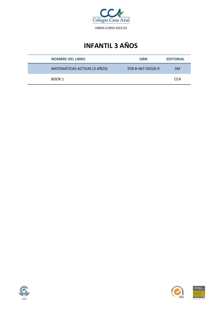

# **INFANTIL 3 AÑOS**

| <b>NOMBRE DEL LIBRO</b>      | <b>ISBN</b>       | <b>EDITORIAL</b> |
|------------------------------|-------------------|------------------|
| MATEMÁTICAS ACTIVAS (3 AÑOS) | 978-8-467-59226-9 | <b>SM</b>        |
| BOOK 1                       |                   | CCA              |





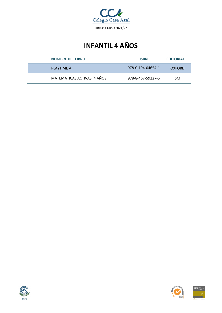

# **INFANTIL 4 AÑOS**

| <b>NOMBRE DEL LIBRO</b>      | <b>ISBN</b>       | <b>EDITORIAL</b> |
|------------------------------|-------------------|------------------|
| PLAYTIME A                   | 978-0-194-04654-1 | <b>OXFORD</b>    |
| MATEMÁTICAS ACTIVAS (4 AÑOS) | 978-8-467-59227-6 | <b>SM</b>        |





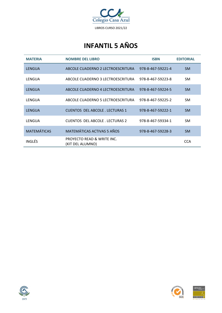

# **INFANTIL 5 AÑOS**

| <b>MATERIA</b>     | <b>NOMBRE DEL LIBRO</b>                                   | <b>ISBN</b>       | <b>EDITORIAL</b> |
|--------------------|-----------------------------------------------------------|-------------------|------------------|
| LENGUA             | ABCOLE CUADERNO 2 LECTROESCRITURA                         | 978-8-467-59221-4 | <b>SM</b>        |
| LENGUA             | ABCOLE CUADERNO 3 LECTROESCRITURA                         | 978-8-467-59223-8 | SM.              |
| LENGUA             | ABCOLE CUADERNO 4 LECTROESCRITURA                         | 978-8-467-59224-5 | <b>SM</b>        |
| LENGUA             | ABCOLE CUADERNO 5 LECTROESCRITURA                         | 978-8-467-59225-2 | SM.              |
| LENGUA             | <b>CUENTOS DEL ABCOLE. LECTURAS 1</b>                     | 978-8-467-59222-1 | <b>SM</b>        |
| LENGUA             | <b>CUENTOS DEL ABCOLE. LECTURAS 2</b>                     | 978-8-467-59334-1 | <b>SM</b>        |
| <b>MATEMÁTICAS</b> | MATEMÁTICAS ACTIVAS 5 AÑOS                                | 978-8-467-59228-3 | <b>SM</b>        |
| INGLÉS.            | <b>PROYECTO READ &amp; WRITE INC.</b><br>(KIT DEL ALUMNO) |                   | <b>CCA</b>       |



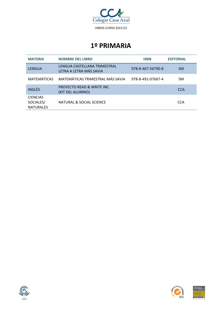

| <b>MATERIA</b>                                   | <b>NOMBRE DEL LIBRO</b>                                   | <b>ISBN</b>       | <b>EDITORIAL</b> |
|--------------------------------------------------|-----------------------------------------------------------|-------------------|------------------|
| <b>LENGUA</b>                                    | LENGUA CASTELLANA TRIMESTRAL<br>LETRA A LETRA MÁS SAVIA   | 978-8-467-56790-8 | <b>SM</b>        |
| <b>MATEMÁTICAS</b>                               | MATEMÁTICAS TRIMESTRAL MÁS SAVIA                          | 978-8-491-07667-4 | <b>SM</b>        |
| <b>INGLÉS</b>                                    | <b>PROYECTO READ &amp; WRITE INC.</b><br>(KIT DEL ALUMNO) |                   | <b>CCA</b>       |
| <b>CIENCIAS</b><br>SOCIALES/<br><b>NATURALES</b> | NATURAL & SOCIAL SCIENCE                                  |                   | <b>CCA</b>       |





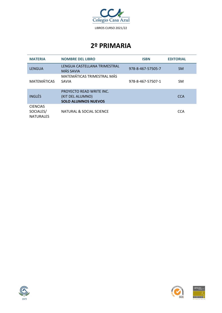

| <b>MATERIA</b>                                   | <b>NOMBRE DEL LIBRO</b>                                                    | <b>ISBN</b>       | <b>EDITORIAL</b> |
|--------------------------------------------------|----------------------------------------------------------------------------|-------------------|------------------|
| <b>LENGUA</b>                                    | LENGUA CASTELLANA TRIMESTRAL<br>MÁS SAVIA                                  | 978-8-467-57505-7 | <b>SM</b>        |
| <b>MATEMÁTICAS</b>                               | MATEMÁTICAS TRIMESTRAL MÁS<br>SAVIA                                        | 978-8-467-57507-1 | <b>SM</b>        |
| <b>INGLÉS</b>                                    | PROYECTO READ WRITE INC.<br>(KIT DEL ALUMNO)<br><b>SOLO ALUMNOS NUEVOS</b> |                   | <b>CCA</b>       |
| <b>CIENCIAS</b><br>SOCIALES/<br><b>NATURALES</b> | <b>NATURAL &amp; SOCIAL SCIENCE</b>                                        |                   | <b>CCA</b>       |





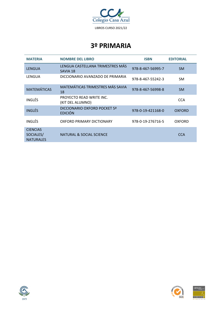

| <b>MATERIA</b>                                   | <b>NOMBRE DEL LIBRO</b>                        | <b>ISBN</b>       | <b>EDITORIAL</b> |
|--------------------------------------------------|------------------------------------------------|-------------------|------------------|
| LENGUA                                           | LENGUA CASTELLANA TRIMESTRES MÁS<br>SAVIA 18   | 978-8-467-56995-7 | <b>SM</b>        |
| LENGUA                                           | DICCIONARIO AVANZADO DE PRIMARIA               | 978-8-467-55242-3 | <b>SM</b>        |
| <b>MATEMÁTICAS</b>                               | MATEMÁTICAS TRIMESTRES MÁS SAVIA<br>18         | 978-8-467-56998-8 | <b>SM</b>        |
| INGLÉS                                           | PROYECTO READ WRITE INC.<br>(KIT DEL ALUMNO)   |                   | <b>CCA</b>       |
| <b>INGLÉS</b>                                    | DICCIONARIO OXFORD POCKET 5ª<br><b>EDICIÓN</b> | 978-0-19-421168-0 | <b>OXFORD</b>    |
| INGLÉS                                           | OXFORD PRIMARY DICTIONARY                      | 978-0-19-276716-5 | OXFORD           |
| <b>CIENCIAS</b><br>SOCIALES/<br><b>NATURALES</b> | NATURAL & SOCIAL SCIENCE                       |                   | <b>CCA</b>       |





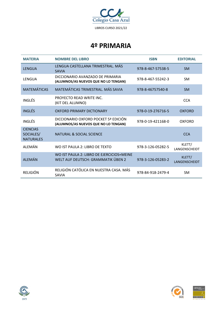

| <b>MATFRIA</b>                                   | <b>NOMBRE DEL LIBRO</b>                                                         | <b>ISBN</b>       | <b>EDITORIAL</b>        |
|--------------------------------------------------|---------------------------------------------------------------------------------|-------------------|-------------------------|
| LENGUA                                           | LENGUA CASTELLANA TRIMESTRAL. MÁS<br><b>SAVIA</b>                               | 978-8-467-57538-5 | <b>SM</b>               |
| LENGUA                                           | DICCIONARIO AVANZADO DE PRIMARIA<br>(ALUMNOS/AS NUEVOS QUE NO LO TENGAN)        | 978-8-467-55242-3 | <b>SM</b>               |
| <b>MATEMÁTICAS</b>                               | MATEMÁTICAS TRIMESTRAL. MÁS SAVIA                                               | 978-8-46757540-8  | <b>SM</b>               |
| INGLÉS                                           | PROYECTO READ WRITE INC.<br>(KIT DEL ALUMNO)                                    |                   | <b>CCA</b>              |
| <b>INGLÉS</b>                                    | OXFORD PRIMARY DICTIONARY                                                       | 978-0-19-276716-5 | OXFORD                  |
| INGLÉS                                           | DICCIONARIO OXFORD POCKET 5ª EDICIÓN<br>(ALUMNOS/AS NUEVOS QUE NO LO TENGAN)    | 978-0-19-421168-0 | OXFORD                  |
| <b>CIENCIAS</b><br>SOCIALES/<br><b>NATURALES</b> | NATURAL & SOCIAL SCIENCE                                                        |                   | <b>CCA</b>              |
| ALEMÁN                                           | WO IST PAULA 2: LIBRO DE TEXTO                                                  | 978-3-126-05282-5 | KLETT/<br>LANGENSCHEIDT |
| <b>ALEMÁN</b>                                    | WO IST PAULA 2: LIBRO DE EJERCICIOS+MEINE<br>WELT AUF DEUTSCH: GRAMMATIK ÜBEN 2 | 978-3-126-05283-2 | KLETT/<br>LANGENSCHEIDT |
| RELIGIÓN                                         | RELIGIÓN CATÓLICA EN NUESTRA CASA. MÁS<br>SAVIA                                 | 978-84-918-2479-4 | <b>SM</b>               |



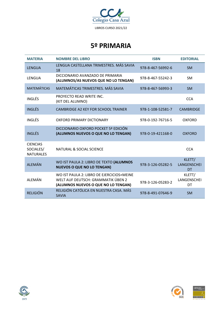

| <b>MATERIA</b>                                   | <b>NOMBRE DEL LIBRO</b>                                                                                                | <b>ISBN</b>       | <b>EDITORIAL</b>                   |
|--------------------------------------------------|------------------------------------------------------------------------------------------------------------------------|-------------------|------------------------------------|
| <b>LENGUA</b>                                    | LENGUA CASTELLANA TRIMESTRES. MÁS SAVIA<br>18                                                                          | 978-8-467-56992-6 | <b>SM</b>                          |
| LENGUA                                           | DICCIONARIO AVANZADO DE PRIMARIA<br>(ALUMNOS/AS NUEVOS QUE NO LO TENGAN)                                               | 978-8-467-55242-3 | <b>SM</b>                          |
| <b>MATEMÁTICAS</b>                               | MATEMÁTICAS TRIMESTRES. MÁS SAVIA                                                                                      | 978-8-467-56993-3 | <b>SM</b>                          |
| <b>INGLÉS</b>                                    | PROYECTO READ WRITE INC.<br>(KIT DEL ALUMNO)                                                                           |                   | <b>CCA</b>                         |
| <b>INGLÉS</b>                                    | CAMBRIDGE A2 KEY FOR SCHOOL TRAINER                                                                                    | 978-1-108-52581-7 | <b>CAMBRIDGE</b>                   |
| <b>INGLÉS</b>                                    | OXFORD PRIMARY DICTIONARY                                                                                              | 978-0-192-76716-5 | <b>OXFORD</b>                      |
| <b>INGLÉS</b>                                    | DICCIONARIO OXFORD POCKET 5ª EDICIÓN<br>(ALUMNOS NUEVOS O QUE NO LO TENGAN)                                            | 978-0-19-421168-0 | OXFORD                             |
| <b>CIENCIAS</b><br>SOCIALES/<br><b>NATURALES</b> | NATURAL & SOCIAL SCIENCE                                                                                               |                   | <b>CCA</b>                         |
| <b>ALEMÁN</b>                                    | WO IST PAULA 2: LIBRO DE TEXTO (ALUMNOS<br><b>NUEVOS O QUE NO LO TENGAN)</b>                                           | 978-3-126-05282-5 | KLETT/<br><b>LANGENSCHEI</b><br>DT |
| <b>ALEMÁN</b>                                    | WO IST PAULA 2: LIBRO DE EJERCICIOS+MEINE<br>WELT AUF DEUTSCH: GRAMMATIK ÜBEN 2<br>(ALUMNOS NUEVOS O QUE NO LO TENGAN) | 978-3-126-05283-2 | KLETT/<br><b>LANGENSCHEI</b><br>DT |
| <b>RELIGIÓN</b>                                  | RELIGIÓN CATÓLICA EN NUESTRA CASA. MÁS<br><b>SAVIA</b>                                                                 | 978-8-491-07646-9 | <b>SM</b>                          |